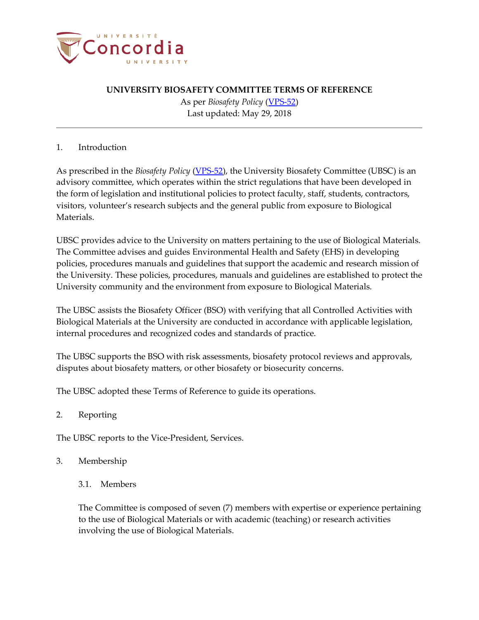

As per *Biosafety Policy* [\(VPS-52\)](http://www.concordia.ca/content/dam/common/docs/policies/official-policies/VPS-52.pdf) Last updated: May 29, 2018

### 1. Introduction

As prescribed in the *Biosafety Policy* [\(VPS-52\)](http://www.concordia.ca/content/dam/common/docs/policies/official-policies/VPS-52.pdf), the University Biosafety Committee (UBSC) is an advisory committee, which operates within the strict regulations that have been developed in the form of legislation and institutional policies to protect faculty, staff, students, contractors, visitors, volunteer's research subjects and the general public from exposure to Biological Materials.

UBSC provides advice to the University on matters pertaining to the use of Biological Materials. The Committee advises and guides Environmental Health and Safety (EHS) in developing policies, procedures manuals and guidelines that support the academic and research mission of the University. These policies, procedures, manuals and guidelines are established to protect the University community and the environment from exposure to Biological Materials.

The UBSC assists the Biosafety Officer (BSO) with verifying that all Controlled Activities with Biological Materials at the University are conducted in accordance with applicable legislation, internal procedures and recognized codes and standards of practice.

The UBSC supports the BSO with risk assessments, biosafety protocol reviews and approvals, disputes about biosafety matters, or other biosafety or biosecurity concerns.

The UBSC adopted these Terms of Reference to guide its operations.

2. Reporting

The UBSC reports to the Vice-President, Services.

- 3. Membership
	- 3.1. Members

The Committee is composed of seven (7) members with expertise or experience pertaining to the use of Biological Materials or with academic (teaching) or research activities involving the use of Biological Materials.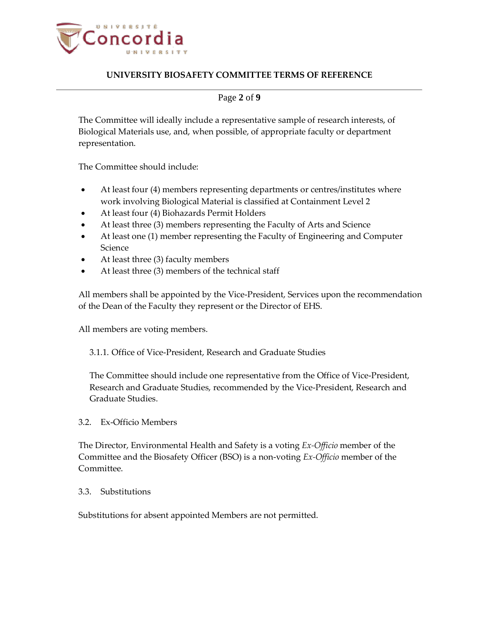

## Page **2** of **9**

The Committee will ideally include a representative sample of research interests, of Biological Materials use, and, when possible, of appropriate faculty or department representation.

The Committee should include:

- At least four (4) members representing departments or centres/institutes where work involving Biological Material is classified at Containment Level 2
- At least four (4) Biohazards Permit Holders
- At least three (3) members representing the Faculty of Arts and Science
- At least one (1) member representing the Faculty of Engineering and Computer Science
- At least three (3) faculty members
- At least three (3) members of the technical staff

All members shall be appointed by the Vice-President, Services upon the recommendation of the Dean of the Faculty they represent or the Director of EHS.

All members are voting members.

3.1.1. Office of Vice-President, Research and Graduate Studies

The Committee should include one representative from the Office of Vice-President, Research and Graduate Studies, recommended by the Vice-President, Research and Graduate Studies.

#### 3.2. Ex-Officio Members

The Director, Environmental Health and Safety is a voting *Ex-Officio* member of the Committee and the Biosafety Officer (BSO) is a non-voting *Ex-Officio* member of the Committee.

#### 3.3. Substitutions

Substitutions for absent appointed Members are not permitted.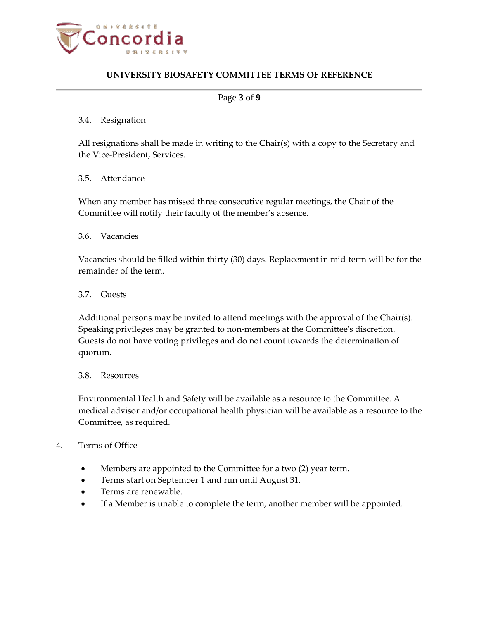

### Page **3** of **9**

#### 3.4. Resignation

All resignations shall be made in writing to the Chair(s) with a copy to the Secretary and the Vice-President, Services.

### 3.5. Attendance

When any member has missed three consecutive regular meetings, the Chair of the Committee will notify their faculty of the member's absence.

#### 3.6. Vacancies

Vacancies should be filled within thirty (30) days. Replacement in mid-term will be for the remainder of the term.

#### 3.7. Guests

Additional persons may be invited to attend meetings with the approval of the Chair(s). Speaking privileges may be granted to non-members at the Committee's discretion. Guests do not have voting privileges and do not count towards the determination of quorum.

### 3.8. Resources

Environmental Health and Safety will be available as a resource to the Committee. A medical advisor and/or occupational health physician will be available as a resource to the Committee, as required.

### 4. Terms of Office

- Members are appointed to the Committee for a two (2) year term.
- Terms start on September 1 and run until August 31.
- Terms are renewable.
- If a Member is unable to complete the term, another member will be appointed.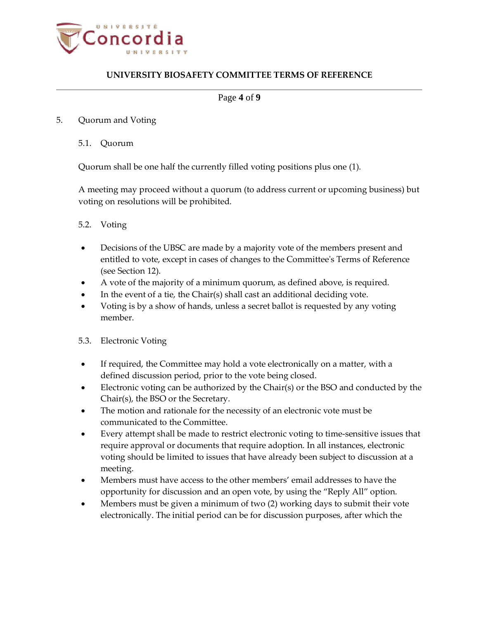

### Page **4** of **9**

#### 5. Quorum and Voting

5.1. Quorum

Quorum shall be one half the currently filled voting positions plus one (1).

A meeting may proceed without a quorum (to address current or upcoming business) but voting on resolutions will be prohibited.

### 5.2. Voting

- Decisions of the UBSC are made by a majority vote of the members present and entitled to vote, except in cases of changes to the Committee's Terms of Reference (see Section 12).
- A vote of the majority of a minimum quorum, as defined above, is required.
- In the event of a tie, the Chair(s) shall cast an additional deciding vote.
- Voting is by a show of hands, unless a secret ballot is requested by any voting member.

### 5.3. Electronic Voting

- If required, the Committee may hold a vote electronically on a matter, with a defined discussion period, prior to the vote being closed.
- Electronic voting can be authorized by the Chair(s) or the BSO and conducted by the Chair(s), the BSO or the Secretary.
- The motion and rationale for the necessity of an electronic vote must be communicated to the Committee.
- Every attempt shall be made to restrict electronic voting to time-sensitive issues that require approval or documents that require adoption. In all instances, electronic voting should be limited to issues that have already been subject to discussion at a meeting.
- Members must have access to the other members' email addresses to have the opportunity for discussion and an open vote, by using the "Reply All" option.
- Members must be given a minimum of two (2) working days to submit their vote electronically. The initial period can be for discussion purposes, after which the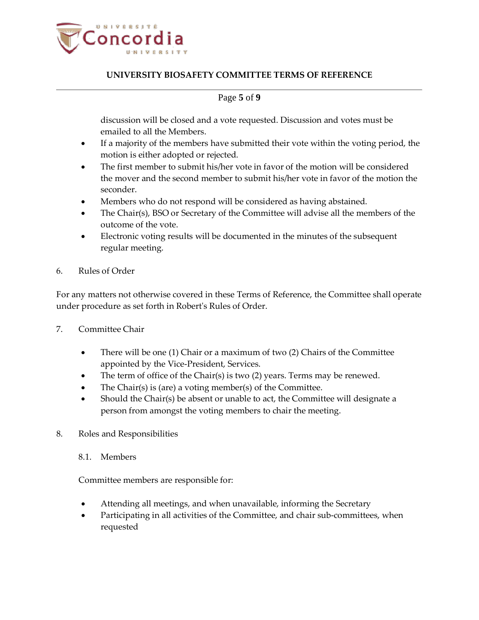

## Page **5** of **9**

discussion will be closed and a vote requested. Discussion and votes must be emailed to all the Members.

- If a majority of the members have submitted their vote within the voting period, the motion is either adopted or rejected.
- The first member to submit his/her vote in favor of the motion will be considered the mover and the second member to submit his/her vote in favor of the motion the seconder.
- Members who do not respond will be considered as having abstained.
- The Chair(s), BSO or Secretary of the Committee will advise all the members of the outcome of the vote.
- Electronic voting results will be documented in the minutes of the subsequent regular meeting.
- 6. Rules of Order

For any matters not otherwise covered in these Terms of Reference, the Committee shall operate under procedure as set forth in Robert's Rules of Order.

- 7. Committee Chair
	- There will be one (1) Chair or a maximum of two (2) Chairs of the Committee appointed by the Vice-President, Services.
	- The term of office of the Chair(s) is two (2) years. Terms may be renewed.
	- The Chair(s) is (are) a voting member(s) of the Committee.
	- Should the Chair(s) be absent or unable to act, the Committee will designate a person from amongst the voting members to chair the meeting.
- 8. Roles and Responsibilities
	- 8.1. Members

Committee members are responsible for:

- Attending all meetings, and when unavailable, informing the Secretary
- Participating in all activities of the Committee, and chair sub-committees, when requested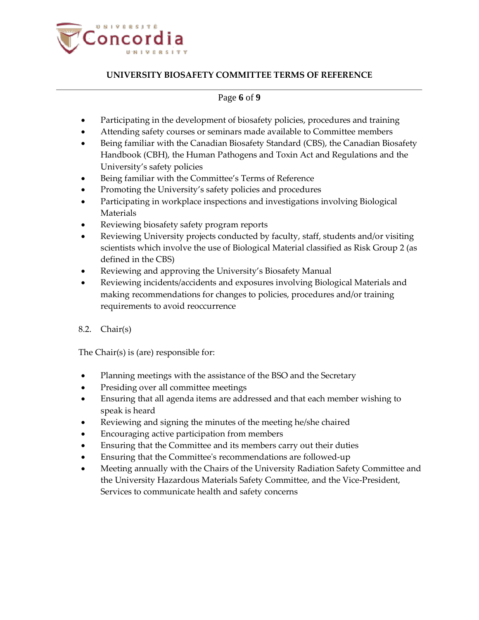

## Page **6** of **9**

- Participating in the development of biosafety policies, procedures and training
- Attending safety courses or seminars made available to Committee members
- Being familiar with the Canadian Biosafety Standard (CBS), the Canadian Biosafety Handbook (CBH), the Human Pathogens and Toxin Act and Regulations and the University's safety policies
- Being familiar with the Committee's Terms of Reference
- Promoting the University's safety policies and procedures
- Participating in workplace inspections and investigations involving Biological Materials
- Reviewing biosafety safety program reports
- Reviewing University projects conducted by faculty, staff, students and/or visiting scientists which involve the use of Biological Material classified as Risk Group 2 (as defined in the CBS)
- Reviewing and approving the University's Biosafety Manual
- Reviewing incidents/accidents and exposures involving Biological Materials and making recommendations for changes to policies, procedures and/or training requirements to avoid reoccurrence
- 8.2. Chair(s)

The Chair(s) is (are) responsible for:

- Planning meetings with the assistance of the BSO and the Secretary
- Presiding over all committee meetings
- Ensuring that all agenda items are addressed and that each member wishing to speak is heard
- Reviewing and signing the minutes of the meeting he/she chaired
- Encouraging active participation from members
- Ensuring that the Committee and its members carry out their duties
- Ensuring that the Committee's recommendations are followed-up
- Meeting annually with the Chairs of the University Radiation Safety Committee and the University Hazardous Materials Safety Committee, and the Vice-President, Services to communicate health and safety concerns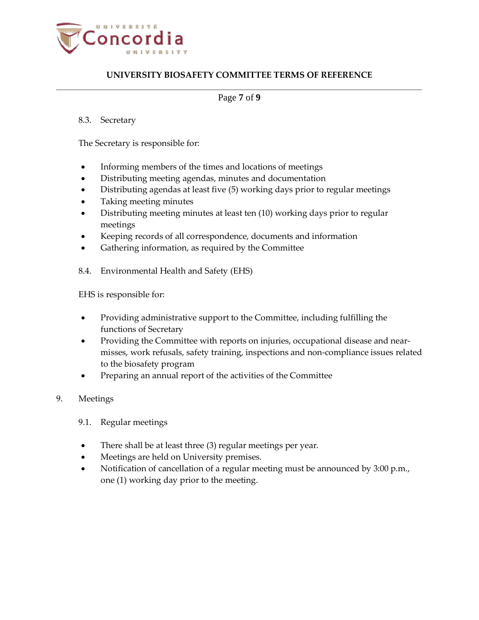

### Page **7** of **9**

### 8.3. Secretary

The Secretary is responsible for:

- Informing members of the times and locations of meetings
- Distributing meeting agendas, minutes and documentation
- Distributing agendas at least five (5) working days prior to regular meetings
- Taking meeting minutes
- Distributing meeting minutes at least ten (10) working days prior to regular meetings
- Keeping records of all correspondence, documents and information
- Gathering information, as required by the Committee
- 8.4. Environmental Health and Safety (EHS)

EHS is responsible for:

- Providing administrative support to the Committee, including fulfilling the functions of Secretary
- Providing the Committee with reports on injuries, occupational disease and nearmisses, work refusals, safety training, inspections and non-compliance issues related to the biosafety program
- Preparing an annual report of the activities of the Committee
- 9. Meetings
	- 9.1. Regular meetings
	- There shall be at least three (3) regular meetings per year.
	- Meetings are held on University premises.
	- Notification of cancellation of a regular meeting must be announced by 3:00 p.m., one (1) working day prior to the meeting.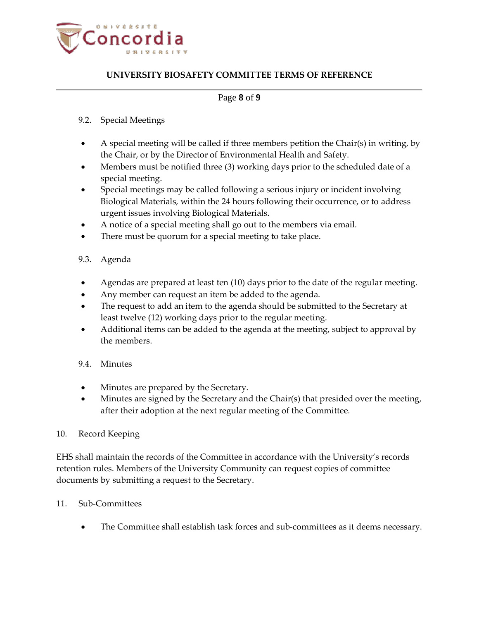

### Page **8** of **9**

### 9.2. Special Meetings

- A special meeting will be called if three members petition the Chair(s) in writing, by the Chair, or by the Director of Environmental Health and Safety.
- Members must be notified three (3) working days prior to the scheduled date of a special meeting.
- Special meetings may be called following a serious injury or incident involving Biological Materials, within the 24 hours following their occurrence, or to address urgent issues involving Biological Materials.
- A notice of a special meeting shall go out to the members via email.
- There must be quorum for a special meeting to take place.

### 9.3. Agenda

- Agendas are prepared at least ten (10) days prior to the date of the regular meeting.
- Any member can request an item be added to the agenda.
- The request to add an item to the agenda should be submitted to the Secretary at least twelve (12) working days prior to the regular meeting.
- Additional items can be added to the agenda at the meeting, subject to approval by the members.

## 9.4. Minutes

- Minutes are prepared by the Secretary.
- Minutes are signed by the Secretary and the Chair(s) that presided over the meeting, after their adoption at the next regular meeting of the Committee.

### 10. Record Keeping

EHS shall maintain the records of the Committee in accordance with the University's records retention rules. Members of the University Community can request copies of committee documents by submitting a request to the Secretary.

### 11. Sub-Committees

• The Committee shall establish task forces and sub-committees as it deems necessary.